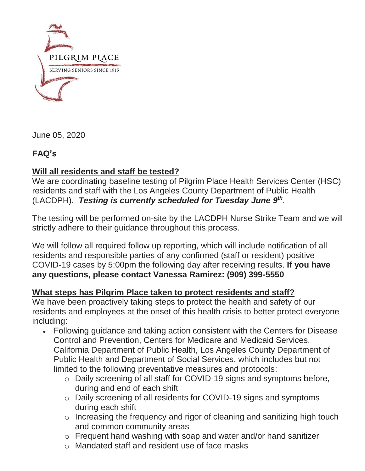

June 05, 2020

## **FAQ's**

## **Will all residents and staff be tested?**

We are coordinating baseline testing of Pilgrim Place Health Services Center (HSC) residents and staff with the Los Angeles County Department of Public Health (LACDPH). *Testing is currently scheduled for Tuesday June 9th* .

The testing will be performed on-site by the LACDPH Nurse Strike Team and we will strictly adhere to their guidance throughout this process.

We will follow all required follow up reporting, which will include notification of all residents and responsible parties of any confirmed (staff or resident) positive COVID-19 cases by 5:00pm the following day after receiving results. **If you have any questions, please contact Vanessa Ramirez: (909) 399-5550**

## **What steps has Pilgrim Place taken to protect residents and staff?**

We have been proactively taking steps to protect the health and safety of our residents and employees at the onset of this health crisis to better protect everyone including:

- Following guidance and taking action consistent with the Centers for Disease Control and Prevention, Centers for Medicare and Medicaid Services, California Department of Public Health, Los Angeles County Department of Public Health and Department of Social Services, which includes but not limited to the following preventative measures and protocols:
	- o Daily screening of all staff for COVID-19 signs and symptoms before, during and end of each shift
	- o Daily screening of all residents for COVID-19 signs and symptoms during each shift
	- o Increasing the frequency and rigor of cleaning and sanitizing high touch and common community areas
	- o Frequent hand washing with soap and water and/or hand sanitizer
	- o Mandated staff and resident use of face masks